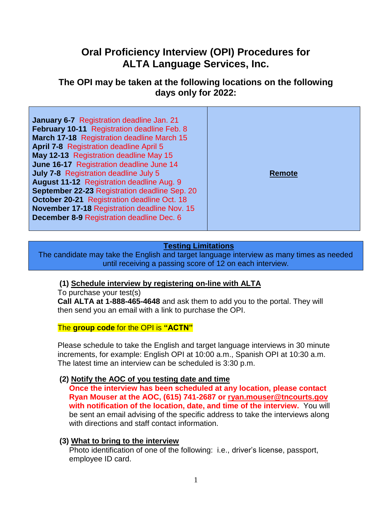# **Oral Proficiency Interview (OPI) Procedures for ALTA Language Services, Inc.**

# **The OPI may be taken at the following locations on the following days only for 2022:**

| <b>January 6-7</b> Registration deadline Jan. 21<br><b>February 10-11 Registration deadline Feb. 8</b><br>March 17-18 Registration deadline March 15<br><b>April 7-8 Registration deadline April 5</b><br>May 12-13 Registration deadline May 15<br>June 16-17 Registration deadline June 14<br><b>July 7-8 Registration deadline July 5</b><br><b>August 11-12 Registration deadline Aug. 9</b><br>September 22-23 Registration deadline Sep. 20<br><b>October 20-21 Registration deadline Oct. 18</b><br>November 17-18 Registration deadline Nov. 15<br><b>December 8-9 Registration deadline Dec. 6</b> | Remote |
|-------------------------------------------------------------------------------------------------------------------------------------------------------------------------------------------------------------------------------------------------------------------------------------------------------------------------------------------------------------------------------------------------------------------------------------------------------------------------------------------------------------------------------------------------------------------------------------------------------------|--------|
|-------------------------------------------------------------------------------------------------------------------------------------------------------------------------------------------------------------------------------------------------------------------------------------------------------------------------------------------------------------------------------------------------------------------------------------------------------------------------------------------------------------------------------------------------------------------------------------------------------------|--------|

## **Testing Limitations**

The candidate may take the English and target language interview as many times as needed until receiving a passing score of 12 on each interview.

#### **(1) Schedule interview by registering on-line with ALTA**

To purchase your test(s)

**Call ALTA at 1-888-465-4648** and ask them to add you to the portal. They will then send you an email with a link to purchase the OPI.

#### The **group code** for the OPI is **"ACTN"**

Please schedule to take the English and target language interviews in 30 minute increments, for example: English OPI at 10:00 a.m., Spanish OPI at 10:30 a.m. The latest time an interview can be scheduled is 3:30 p.m.

#### **(2) Notify the AOC of you testing date and time**

**Once the interview has been scheduled at any location, please contact Ryan Mouser at the AOC, (615) 741-2687 or [ryan.mouser@tncourts.gov](mailto:ryan.mouser@tncourts.gov) with notification of the location, date, and time of the interview.** You will be sent an email advising of the specific address to take the interviews along with directions and staff contact information.

#### **(3) What to bring to the interview**

Photo identification of one of the following: i.e., driver's license, passport, employee ID card.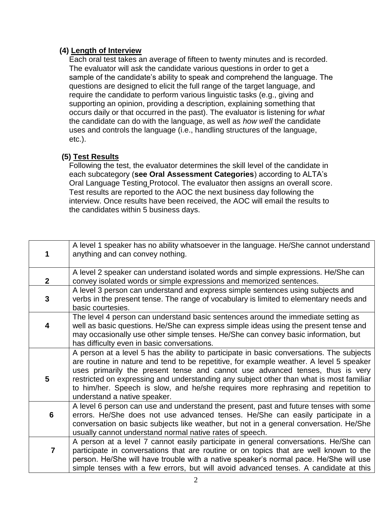## **(4) Length of Interview**

Each oral test takes an average of fifteen to twenty minutes and is recorded. The evaluator will ask the candidate various questions in order to get a sample of the candidate's ability to speak and comprehend the language. The questions are designed to elicit the full range of the target language, and require the candidate to perform various linguistic tasks (e.g., giving and supporting an opinion, providing a description, explaining something that occurs daily or that occurred in the past). The evaluator is listening for *what*  the candidate can do with the language, as well as *how well* the candidate uses and controls the language (i.e., handling structures of the language, etc.).

# **(5) Test Results**

Following the test, the evaluator determines the skill level of the candidate in each subcategory (**see Oral Assessment Categories**) according to ALTA's Oral Language Testing Protocol. The evaluator then assigns an overall score. Test results are reported to the AOC the next business day following the interview. Once results have been received, the AOC will email the results to the candidates within 5 business days.

|                | A level 1 speaker has no ability whatsoever in the language. He/She cannot understand<br>anything and can convey nothing.                                                                                                                                                                                                                                                                                                                                                             |
|----------------|---------------------------------------------------------------------------------------------------------------------------------------------------------------------------------------------------------------------------------------------------------------------------------------------------------------------------------------------------------------------------------------------------------------------------------------------------------------------------------------|
| $\mathbf{2}$   | A level 2 speaker can understand isolated words and simple expressions. He/She can<br>convey isolated words or simple expressions and memorized sentences.                                                                                                                                                                                                                                                                                                                            |
| $\mathbf{3}$   | A level 3 person can understand and express simple sentences using subjects and<br>verbs in the present tense. The range of vocabulary is limited to elementary needs and<br>basic courtesies.                                                                                                                                                                                                                                                                                        |
| 4              | The level 4 person can understand basic sentences around the immediate setting as<br>well as basic questions. He/She can express simple ideas using the present tense and<br>may occasionally use other simple tenses. He/She can convey basic information, but<br>has difficulty even in basic conversations.                                                                                                                                                                        |
| 5              | A person at a level 5 has the ability to participate in basic conversations. The subjects<br>are routine in nature and tend to be repetitive, for example weather. A level 5 speaker<br>uses primarily the present tense and cannot use advanced tenses, thus is very<br>restricted on expressing and understanding any subject other than what is most familiar<br>to him/her. Speech is slow, and he/she requires more rephrasing and repetition to<br>understand a native speaker. |
| 6              | A level 6 person can use and understand the present, past and future tenses with some<br>errors. He/She does not use advanced tenses. He/She can easily participate in a<br>conversation on basic subjects like weather, but not in a general conversation. He/She<br>usually cannot understand normal native rates of speech.                                                                                                                                                        |
| $\overline{7}$ | A person at a level 7 cannot easily participate in general conversations. He/She can<br>participate in conversations that are routine or on topics that are well known to the<br>person. He/She will have trouble with a native speaker's normal pace. He/She will use<br>simple tenses with a few errors, but will avoid advanced tenses. A candidate at this                                                                                                                        |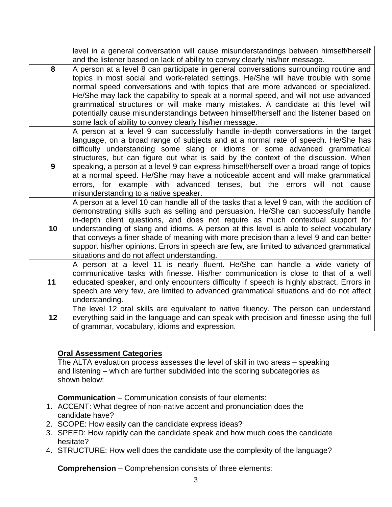|                 | level in a general conversation will cause misunderstandings between himself/herself<br>and the listener based on lack of ability to convey clearly his/her message.                                                                                                                                                                                                                                                                                                                                                                                                                                                                            |
|-----------------|-------------------------------------------------------------------------------------------------------------------------------------------------------------------------------------------------------------------------------------------------------------------------------------------------------------------------------------------------------------------------------------------------------------------------------------------------------------------------------------------------------------------------------------------------------------------------------------------------------------------------------------------------|
| 8               | A person at a level 8 can participate in general conversations surrounding routine and<br>topics in most social and work-related settings. He/She will have trouble with some<br>normal speed conversations and with topics that are more advanced or specialized.<br>He/She may lack the capability to speak at a normal speed, and will not use advanced<br>grammatical structures or will make many mistakes. A candidate at this level will<br>potentially cause misunderstandings between himself/herself and the listener based on<br>some lack of ability to convey clearly his/her message.                                             |
| 9               | A person at a level 9 can successfully handle in-depth conversations in the target<br>language, on a broad range of subjects and at a normal rate of speech. He/She has<br>difficulty understanding some slang or idioms or some advanced grammatical<br>structures, but can figure out what is said by the context of the discussion. When<br>speaking, a person at a level 9 can express himself/herself over a broad range of topics<br>at a normal speed. He/She may have a noticeable accent and will make grammatical<br>errors, for example with advanced tenses, but the errors will not cause<br>misunderstanding to a native speaker. |
| 10 <sub>1</sub> | A person at a level 10 can handle all of the tasks that a level 9 can, with the addition of<br>demonstrating skills such as selling and persuasion. He/She can successfully handle<br>in-depth client questions, and does not require as much contextual support for<br>understanding of slang and idioms. A person at this level is able to select vocabulary<br>that conveys a finer shade of meaning with more precision than a level 9 and can better<br>support his/her opinions. Errors in speech are few, are limited to advanced grammatical<br>situations and do not affect understanding.                                             |
| 11              | A person at a level 11 is nearly fluent. He/She can handle a wide variety of<br>communicative tasks with finesse. His/her communication is close to that of a well<br>educated speaker, and only encounters difficulty if speech is highly abstract. Errors in<br>speech are very few, are limited to advanced grammatical situations and do not affect<br>understanding.                                                                                                                                                                                                                                                                       |
| 12 <sub>2</sub> | The level 12 oral skills are equivalent to native fluency. The person can understand<br>everything said in the language and can speak with precision and finesse using the full<br>of grammar, vocabulary, idioms and expression.                                                                                                                                                                                                                                                                                                                                                                                                               |

# **Oral Assessment Categories**

The ALTA evaluation process assesses the level of skill in two areas – speaking and listening – which are further subdivided into the scoring subcategories as shown below:

**Communication** – Communication consists of four elements:

- 1. ACCENT: What degree of non-native accent and pronunciation does the candidate have?
- 2. SCOPE: How easily can the candidate express ideas?
- 3. SPEED: How rapidly can the candidate speak and how much does the candidate hesitate?
- 4. STRUCTURE: How well does the candidate use the complexity of the language?

**Comprehension** – Comprehension consists of three elements: